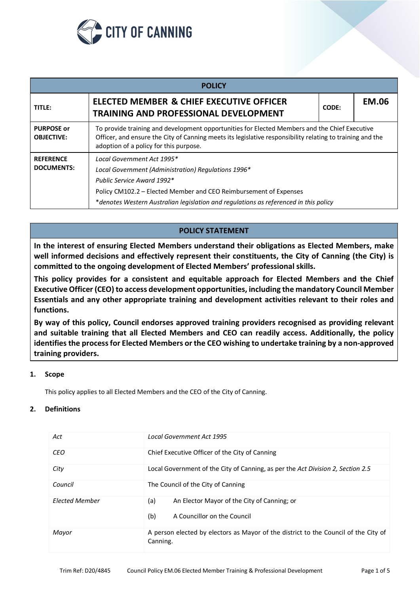

| <b>POLICY</b>                          |                                                                                                                                                                                                                                                                              |       |              |  |  |  |  |
|----------------------------------------|------------------------------------------------------------------------------------------------------------------------------------------------------------------------------------------------------------------------------------------------------------------------------|-------|--------------|--|--|--|--|
| TITLE:                                 | ELECTED MEMBER & CHIEF EXECUTIVE OFFICER<br><b>TRAINING AND PROFESSIONAL DEVELOPMENT</b>                                                                                                                                                                                     | CODE: | <b>EM.06</b> |  |  |  |  |
| <b>PURPOSE or</b><br><b>OBJECTIVE:</b> | To provide training and development opportunities for Elected Members and the Chief Executive<br>Officer, and ensure the City of Canning meets its legislative responsibility relating to training and the<br>adoption of a policy for this purpose.                         |       |              |  |  |  |  |
| <b>REFERENCE</b><br><b>DOCUMENTS:</b>  | Local Government Act 1995*<br>Local Government (Administration) Regulations 1996*<br>Public Service Award 1992*<br>Policy CM102.2 – Elected Member and CEO Reimbursement of Expenses<br>*denotes Western Australian legislation and regulations as referenced in this policy |       |              |  |  |  |  |

# **POLICY STATEMENT**

**In the interest of ensuring Elected Members understand their obligations as Elected Members, make well informed decisions and effectively represent their constituents, the City of Canning (the City) is committed to the ongoing development of Elected Members' professional skills.**

**This policy provides for a consistent and equitable approach for Elected Members and the Chief Executive Officer (CEO) to access development opportunities, including the mandatory Council Member Essentials and any other appropriate training and development activities relevant to their roles and functions.**

**By way of this policy, Council endorses approved training providers recognised as providing relevant and suitable training that all Elected Members and CEO can readily access. Additionally, the policy identifies the process for Elected Members or the CEO wishing to undertake training by a non-approved training providers.**

### **1. Scope**

This policy applies to all Elected Members and the CEO of the City of Canning.

### **2. Definitions**

| Act                   | <b>Local Government Act 1995</b>                                                                |  |  |  |
|-----------------------|-------------------------------------------------------------------------------------------------|--|--|--|
| <b>CEO</b>            | Chief Executive Officer of the City of Canning                                                  |  |  |  |
| City                  | Local Government of the City of Canning, as per the Act Division 2, Section 2.5                 |  |  |  |
| Council               | The Council of the City of Canning                                                              |  |  |  |
| <b>Flected Member</b> | (a)<br>An Elector Mayor of the City of Canning; or<br>(b)<br>A Councillor on the Council        |  |  |  |
| Mayor                 | A person elected by electors as Mayor of the district to the Council of the City of<br>Canning. |  |  |  |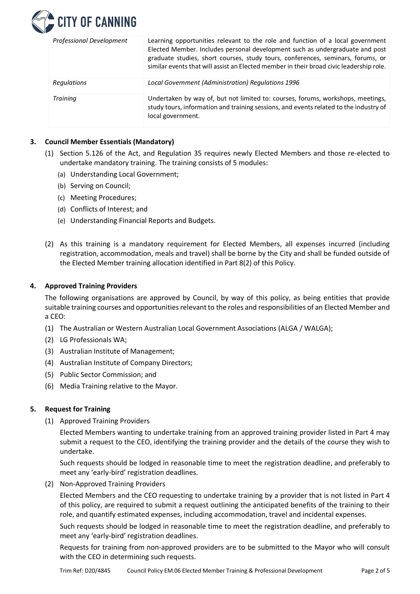

| <b>Professional Development</b> | Learning opportunities relevant to the role and function of a local government<br>Elected Member. Includes personal development such as undergraduate and post<br>graduate studies, short courses, study tours, conferences, seminars, forums, or<br>similar events that will assist an Elected member in their broad civic leadership role. |
|---------------------------------|----------------------------------------------------------------------------------------------------------------------------------------------------------------------------------------------------------------------------------------------------------------------------------------------------------------------------------------------|
| <b>Regulations</b>              | Local Government (Administration) Regulations 1996                                                                                                                                                                                                                                                                                           |
| <b>Training</b>                 | Undertaken by way of, but not limited to: courses, forums, workshops, meetings,<br>study tours, information and training sessions, and events related to the industry of<br>local government.                                                                                                                                                |

# **3. Council Member Essentials (Mandatory)**

- (1) Section 5.126 of the Act, and Regulation 35 requires newly Elected Members and those re-elected to undertake mandatory training. The training consists of 5 modules:
	- (a) Understanding Local Government;
	- (b) Serving on Council;
	- (c) Meeting Procedures;
	- (d) Conflicts of Interest; and
	- (e) Understanding Financial Reports and Budgets.
- (2) As this training is a mandatory requirement for Elected Members, all expenses incurred (including registration, accommodation, meals and travel) shall be borne by the City and shall be funded outside of the Elected Member training allocation identified in Part 8(2) of this Policy.

### **4. Approved Training Providers**

The following organisations are approved by Council, by way of this policy, as being entities that provide suitable training courses and opportunities relevant to the roles and responsibilities of an Elected Member and a CEO:

- (1) The Australian or Western Australian Local Government Associations (ALGA / WALGA);
- (2) LG Professionals WA;
- (3) Australian Institute of Management;
- (4) Australian Institute of Company Directors;
- (5) Public Sector Commission; and
- (6) Media Training relative to the Mayor.

### **5. Request for Training**

(1) Approved Training Providers

Elected Members wanting to undertake training from an approved training provider listed in Part 4 may submit a request to the CEO, identifying the training provider and the details of the course they wish to undertake.

Such requests should be lodged in reasonable time to meet the registration deadline, and preferably to meet any 'early-bird' registration deadlines.

(2) Non-Approved Training Providers

Elected Members and the CEO requesting to undertake training by a provider that is not listed in Part 4 of this policy, are required to submit a request outlining the anticipated benefits of the training to their role, and quantify estimated expenses, including accommodation, travel and incidental expenses.

Such requests should be lodged in reasonable time to meet the registration deadline, and preferably to meet any 'early-bird' registration deadlines.

Requests for training from non-approved providers are to be submitted to the Mayor who will consult with the CEO in determining such requests.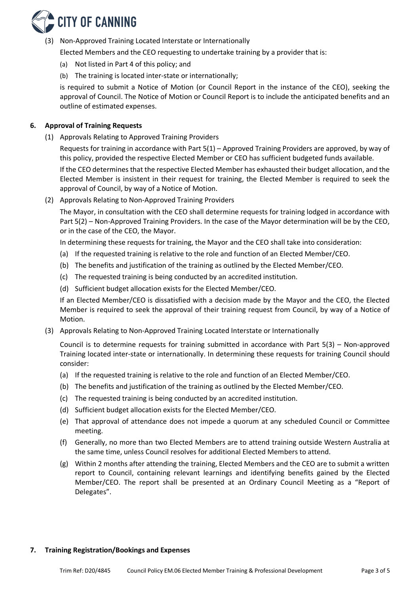

(3) Non-Approved Training Located Interstate or Internationally

Elected Members and the CEO requesting to undertake training by a provider that is:

- (a) Not listed in Part 4 of this policy; and
- (b) The training is located inter-state or internationally;

is required to submit a Notice of Motion (or Council Report in the instance of the CEO), seeking the approval of Council. The Notice of Motion or Council Report is to include the anticipated benefits and an outline of estimated expenses.

## **6. Approval of Training Requests**

(1) Approvals Relating to Approved Training Providers

Requests for training in accordance with Part 5(1) – Approved Training Providers are approved, by way of this policy, provided the respective Elected Member or CEO has sufficient budgeted funds available.

If the CEO determines that the respective Elected Member has exhausted their budget allocation, and the Elected Member is insistent in their request for training, the Elected Member is required to seek the approval of Council, by way of a Notice of Motion.

(2) Approvals Relating to Non-Approved Training Providers

The Mayor, in consultation with the CEO shall determine requests for training lodged in accordance with Part 5(2) – Non-Approved Training Providers. In the case of the Mayor determination will be by the CEO, or in the case of the CEO, the Mayor.

In determining these requests for training, the Mayor and the CEO shall take into consideration:

- (a) If the requested training is relative to the role and function of an Elected Member/CEO.
- (b) The benefits and justification of the training as outlined by the Elected Member/CEO.
- (c) The requested training is being conducted by an accredited institution.
- (d) Sufficient budget allocation exists for the Elected Member/CEO.

If an Elected Member/CEO is dissatisfied with a decision made by the Mayor and the CEO, the Elected Member is required to seek the approval of their training request from Council, by way of a Notice of Motion.

(3) Approvals Relating to Non-Approved Training Located Interstate or Internationally

Council is to determine requests for training submitted in accordance with Part 5(3) – Non-approved Training located inter-state or internationally. In determining these requests for training Council should consider:

- (a) If the requested training is relative to the role and function of an Elected Member/CEO.
- (b) The benefits and justification of the training as outlined by the Elected Member/CEO.
- (c) The requested training is being conducted by an accredited institution.
- (d) Sufficient budget allocation exists for the Elected Member/CEO.
- (e) That approval of attendance does not impede a quorum at any scheduled Council or Committee meeting.
- (f) Generally, no more than two Elected Members are to attend training outside Western Australia at the same time, unless Council resolves for additional Elected Members to attend.
- (g) Within 2 months after attending the training, Elected Members and the CEO are to submit a written report to Council, containing relevant learnings and identifying benefits gained by the Elected Member/CEO. The report shall be presented at an Ordinary Council Meeting as a "Report of Delegates".

### **7. Training Registration/Bookings and Expenses**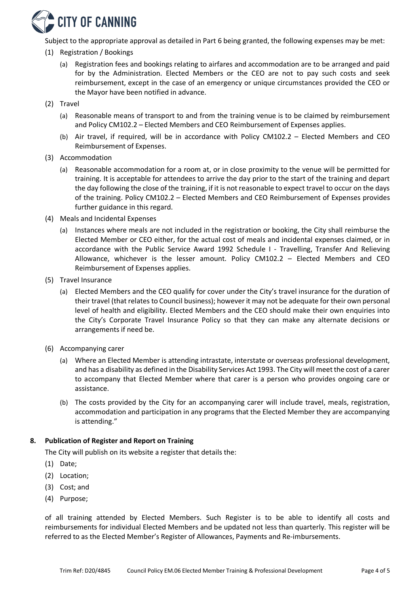

Subject to the appropriate approval as detailed in Part 6 being granted, the following expenses may be met:

- (1) Registration / Bookings
	- (a) Registration fees and bookings relating to airfares and accommodation are to be arranged and paid for by the Administration. Elected Members or the CEO are not to pay such costs and seek reimbursement, except in the case of an emergency or unique circumstances provided the CEO or the Mayor have been notified in advance.
- (2) Travel
	- (a) Reasonable means of transport to and from the training venue is to be claimed by reimbursement and Policy CM102.2 – Elected Members and CEO Reimbursement of Expenses applies.
	- (b) Air travel, if required, will be in accordance with Policy CM102.2 Elected Members and CEO Reimbursement of Expenses.
- (3) Accommodation
	- (a) Reasonable accommodation for a room at, or in close proximity to the venue will be permitted for training. It is acceptable for attendees to arrive the day prior to the start of the training and depart the day following the close of the training, if it is not reasonable to expect travel to occur on the days of the training. Policy CM102.2 – Elected Members and CEO Reimbursement of Expenses provides further guidance in this regard.
- (4) Meals and Incidental Expenses
	- (a) Instances where meals are not included in the registration or booking, the City shall reimburse the Elected Member or CEO either, for the actual cost of meals and incidental expenses claimed, or in accordance with the Public Service Award 1992 Schedule I - Travelling, Transfer And Relieving Allowance, whichever is the lesser amount. Policy CM102.2 – Elected Members and CEO Reimbursement of Expenses applies.
- (5) Travel Insurance
	- (a) Elected Members and the CEO qualify for cover under the City's travel insurance for the duration of their travel (that relates to Council business); however it may not be adequate for their own personal level of health and eligibility. Elected Members and the CEO should make their own enquiries into the City's Corporate Travel Insurance Policy so that they can make any alternate decisions or arrangements if need be.
- (6) Accompanying carer
	- (a) Where an Elected Member is attending intrastate, interstate or overseas professional development, and has a disability as defined in the Disability Services Act 1993. The City will meet the cost of a carer to accompany that Elected Member where that carer is a person who provides ongoing care or assistance.
	- (b) The costs provided by the City for an accompanying carer will include travel, meals, registration, accommodation and participation in any programs that the Elected Member they are accompanying is attending."

### **8. Publication of Register and Report on Training**

The City will publish on its website a register that details the:

- (1) Date;
- (2) Location;
- (3) Cost; and
- (4) Purpose;

of all training attended by Elected Members. Such Register is to be able to identify all costs and reimbursements for individual Elected Members and be updated not less than quarterly. This register will be referred to as the Elected Member's Register of Allowances, Payments and Re-imbursements.